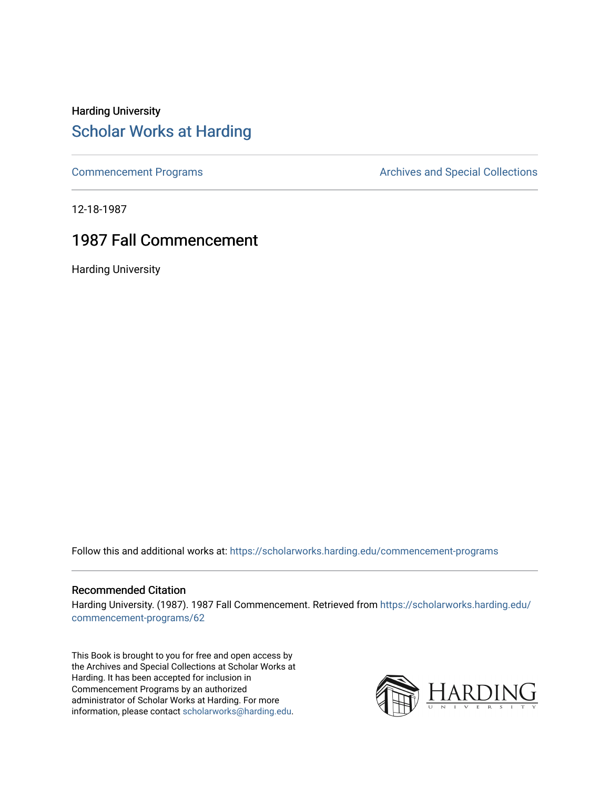### Harding University [Scholar Works at Harding](https://scholarworks.harding.edu/)

[Commencement Programs](https://scholarworks.harding.edu/commencement-programs) **Archives and Special Collections** Archives and Special Collections

12-18-1987

### 1987 Fall Commencement

Harding University

Follow this and additional works at: [https://scholarworks.harding.edu/commencement-programs](https://scholarworks.harding.edu/commencement-programs?utm_source=scholarworks.harding.edu%2Fcommencement-programs%2F62&utm_medium=PDF&utm_campaign=PDFCoverPages)

#### Recommended Citation

Harding University. (1987). 1987 Fall Commencement. Retrieved from [https://scholarworks.harding.edu/](https://scholarworks.harding.edu/commencement-programs/62?utm_source=scholarworks.harding.edu%2Fcommencement-programs%2F62&utm_medium=PDF&utm_campaign=PDFCoverPages) [commencement-programs/62](https://scholarworks.harding.edu/commencement-programs/62?utm_source=scholarworks.harding.edu%2Fcommencement-programs%2F62&utm_medium=PDF&utm_campaign=PDFCoverPages) 

This Book is brought to you for free and open access by the Archives and Special Collections at Scholar Works at Harding. It has been accepted for inclusion in Commencement Programs by an authorized administrator of Scholar Works at Harding. For more information, please contact [scholarworks@harding.edu.](mailto:scholarworks@harding.edu)

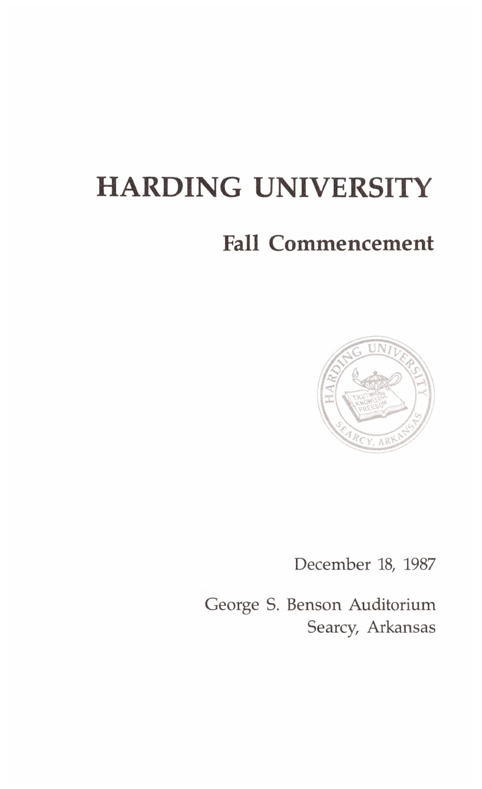## **HARDING UNIVERSITY**

### **Fall Commencement**



December 18, 1987

George S. Benson Auditorium Searcy, Arkansas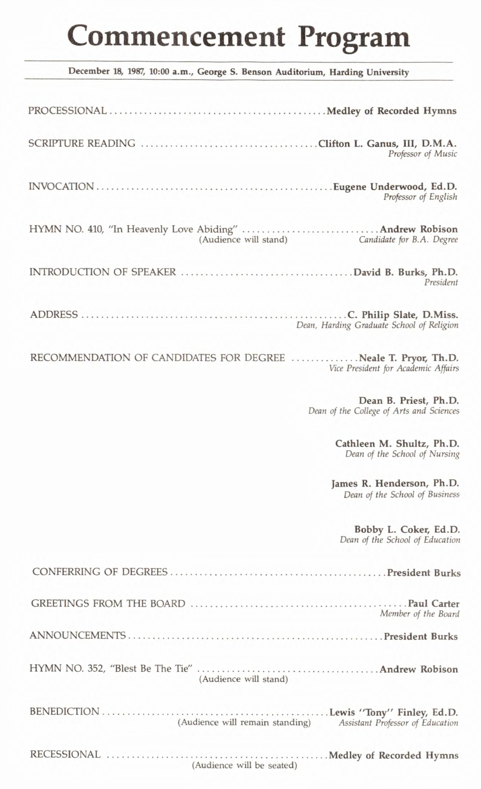# **Commencement Program**

| December 18, 1987, 10:00 a.m., George S. Benson Auditorium, Harding University                       |
|------------------------------------------------------------------------------------------------------|
|                                                                                                      |
|                                                                                                      |
| Professor of Music                                                                                   |
| Professor of English                                                                                 |
| (Audience will stand)<br>Candidate for B.A. Degree                                                   |
| President                                                                                            |
| Dean, Harding Graduate School of Religion                                                            |
| RECOMMENDATION OF CANDIDATES FOR DEGREE Neale T. Pryor, Th.D.<br>Vice President for Academic Affairs |
| Dean B. Priest, Ph.D.<br>Dean of the College of Arts and Sciences                                    |
| Cathleen M. Shultz, Ph.D.<br>Dean of the School of Nursing                                           |
| James R. Henderson, Ph.D.<br>Dean of the School of Business                                          |
| Bobby L. Coker, Ed.D.<br>Dean of the School of Education                                             |
|                                                                                                      |
| Member of the Board                                                                                  |
|                                                                                                      |
| (Audience will stand)                                                                                |
| (Audience will remain standing)<br>Assistant Professor of Education                                  |
| (Audience will be seated)                                                                            |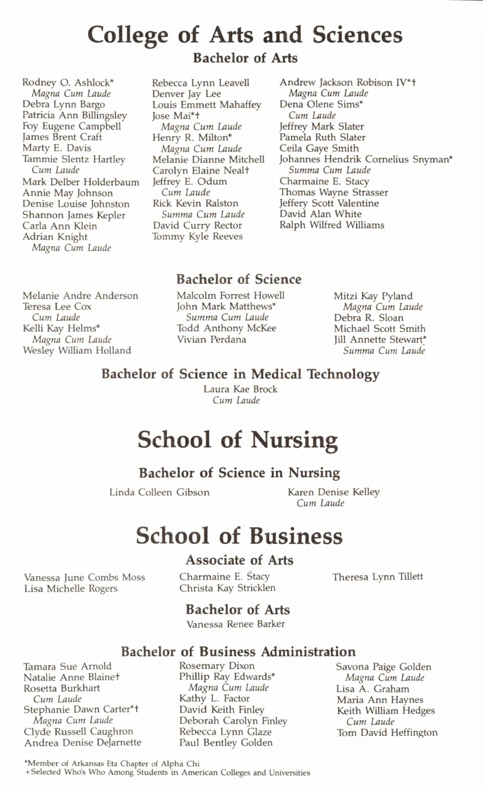### **College of Arts and Sciences**

Rodney O. Ashlock\* *Magna Cum Laude*  Debra Lynn Bargo Patricia Ann Billingsley Foy Eugene Campbell James Brent Craft Marty E. Davis Tammie Slentz Hartley *Cum Laude*  Mark Delber Holderbaum Annie May Johnson Denise Louise Johnston Shannon James Kepler Carla Ann Klein Adrian Knight *Magna Cum Laude* 

**Bachelor of Arts** 

Rebecca Lynn Leavell Denver Jay Lee Louis Emmett Mahaffey Jose Mai\*+ *Magna Cum Laude*  Henry R. Milton\* *Magna Cum Laude*  Melanie Dianne Mitchell Carolyn Elaine Neal+ Jeffrey E. Odum *Cum Laude*  Rick Kevin Ralston *Summa Cum Laude*  David Curry Rector Tommy Kyle Reeves

Andrew Jackson Robison IV\*+ *Magna Cum Laude*  Dena Olene Sims\* *Cum Laude*  Jeffrey Mark Slater Pamela Ruth Slater Ceila Gaye Smith Johannes Hendrik Cornelius Snyman\* *Summa Cum Laude*  Charmaine E. Stacy Thomas Wayne Strasser Jeffery Scott Valentine David Alan White Ralph Wilfred Williams

### **Bachelor of Science**

Melanie Andre Anderson Teresa Lee Cox *Cum Laude*  Kelli Kay Helms\* *Magna Cum Laude*  Wesley William Holland

Malcolm Forrest Howell John Mark Matthews\* *Summa Cum Laude*  Todd Anthony McKee Vivian Perdana

Mitzi Kay Pyland *Magna Cum Laude*  Debra R. Sloan Michael Scott Smith Jill Annette Stewart\* *Summa Cum Laude* 

#### **Bachelor of Science in Medical Technology**

Laura Kae Brock *Cum Laude* 

### **School of Nursing**

#### **Bachelor of Science in Nursing**

Linda Colleen Gibson Karen Denise Kelley

*Cum Laude* 

### **School of Business**

#### **Associate of Arts**

Vanessa June Combs Moss Lisa Michelle Rogers

Charmaine E. Stacy Christa Kay Stricklen Theresa Lynn Tillett

### **Bachelor of Arts**

Vanessa Renee Barker

### **Bachelor of Business Administration**

Tamara Sue Arnold Natalie Anne Blainet Rosetta Burkhart *Cum Laude*  Stephanie Dawn Carter\*+ *Magna Cum Laude*  Clyde Russell Caughron Andrea Denise Dejarnette Rosemary Dixon Phillip Ray Edwards\* *Magna Cum Laude*  Kathy L. Factor David Keith Finley Deborah Carolyn Finley Rebecca Lynn Glaze Paul Bentley Golden

Savona Paige Golden *Magna Cum Laude*  Lisa A. Graham Maria Ann Haynes Keith William Hedges *Cum Laude*  Tom David Heffington

\*Member of Arkansas Eta Chapter of Alpha Chi + Selected Who's Who Among Students in American Colleges and Universities